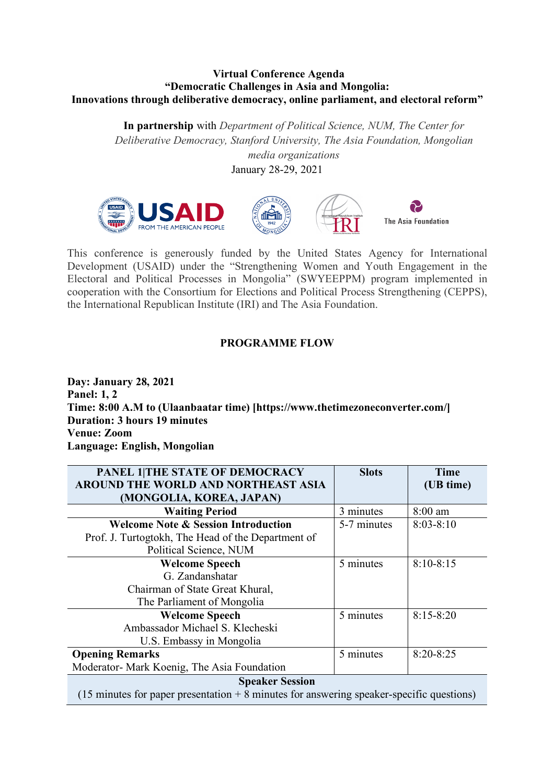## **Virtual Conference Agenda "Democratic Challenges in Asia and Mongolia: Innovations through deliberative democracy, online parliament, and electoral reform"**

**In partnership** with *Department of Political Science, NUM, The Center for Deliberative Democracy, Stanford University, The Asia Foundation, Mongolian media organizations*

January 28-29, 2021



This conference is generously funded by the United States Agency for International Development (USAID) under the "Strengthening Women and Youth Engagement in the Electoral and Political Processes in Mongolia" (SWYEEPPM) program implemented in cooperation with the Consortium for Elections and Political Process Strengthening (CEPPS), the International Republican Institute (IRI) and The Asia Foundation.

## **PROGRAMME FLOW**

**Day: January 28, 2021 Panel: 1, 2 Time: 8:00 A.M to (Ulaanbaatar time) [https://www.thetimezoneconverter.com/] Duration: 3 hours 19 minutes Venue: Zoom Language: English, Mongolian**

| PANEL 1 THE STATE OF DEMOCRACY<br>AROUND THE WORLD AND NORTHEAST ASIA                                | <b>Slots</b> | Time          |  |
|------------------------------------------------------------------------------------------------------|--------------|---------------|--|
| (MONGOLIA, KOREA, JAPAN)                                                                             |              | (UB time)     |  |
| <b>Waiting Period</b>                                                                                | 3 minutes    | 8:00 am       |  |
| <b>Welcome Note &amp; Session Introduction</b>                                                       | 5-7 minutes  | $8:03-8:10$   |  |
| Prof. J. Turtogtokh, The Head of the Department of                                                   |              |               |  |
| Political Science, NUM                                                                               |              |               |  |
| <b>Welcome Speech</b>                                                                                | 5 minutes    | $8:10-8:15$   |  |
| G. Zandanshatar                                                                                      |              |               |  |
| Chairman of State Great Khural,                                                                      |              |               |  |
| The Parliament of Mongolia                                                                           |              |               |  |
| <b>Welcome Speech</b>                                                                                | 5 minutes    | $8:15 - 8:20$ |  |
| Ambassador Michael S. Klecheski                                                                      |              |               |  |
| U.S. Embassy in Mongolia                                                                             |              |               |  |
| <b>Opening Remarks</b>                                                                               | 5 minutes    | $8:20 - 8:25$ |  |
| Moderator- Mark Koenig, The Asia Foundation                                                          |              |               |  |
| <b>Speaker Session</b>                                                                               |              |               |  |
| $(15 \text{ minutes}$ for paper presentation $+ 8$ minutes for answering speaker-specific questions) |              |               |  |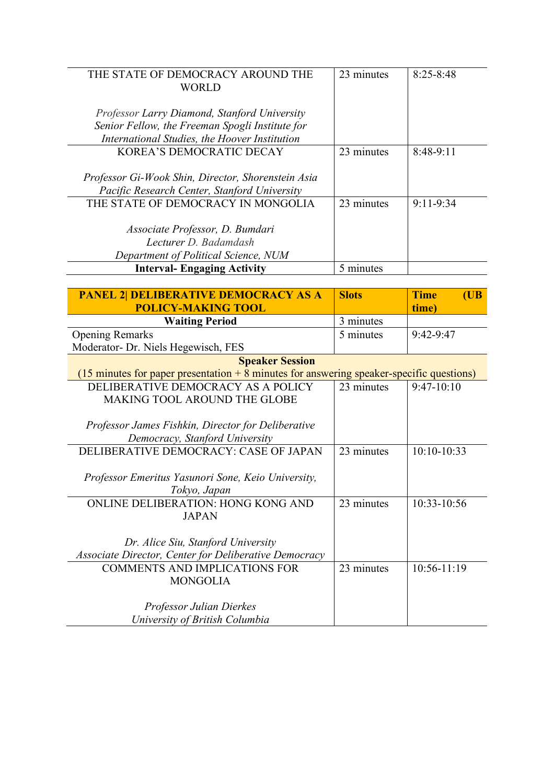| THE STATE OF DEMOCRACY AROUND THE                  | 23 minutes | $8:25 - 8:48$ |
|----------------------------------------------------|------------|---------------|
| WORLD                                              |            |               |
|                                                    |            |               |
| Professor Larry Diamond, Stanford University       |            |               |
| Senior Fellow, the Freeman Spogli Institute for    |            |               |
| International Studies, the Hoover Institution      |            |               |
| KOREA'S DEMOCRATIC DECAY                           | 23 minutes | $8:48-9:11$   |
|                                                    |            |               |
| Professor Gi-Wook Shin, Director, Shorenstein Asia |            |               |
| Pacific Research Center, Stanford University       |            |               |
| THE STATE OF DEMOCRACY IN MONGOLIA                 | 23 minutes | $9:11 - 9:34$ |
|                                                    |            |               |
| Associate Professor, D. Bumdari                    |            |               |
| Lecturer D. Badamdash                              |            |               |
| Department of Political Science, NUM               |            |               |
| <b>Interval- Engaging Activity</b>                 | 5 minutes  |               |

| <b>PANEL 2 DELIBERATIVE DEMOCRACY AS A</b>                                                           | <b>Slots</b> | <b>Time</b><br>(UB) |
|------------------------------------------------------------------------------------------------------|--------------|---------------------|
| <b>POLICY-MAKING TOOL</b>                                                                            |              | time)               |
| <b>Waiting Period</b>                                                                                | 3 minutes    |                     |
| <b>Opening Remarks</b>                                                                               | 5 minutes    | 9:42-9:47           |
| Moderator- Dr. Niels Hegewisch, FES                                                                  |              |                     |
| <b>Speaker Session</b>                                                                               |              |                     |
| $(15 \text{ minutes}$ for paper presentation $+ 8$ minutes for answering speaker-specific questions) |              |                     |
| DELIBERATIVE DEMOCRACY AS A POLICY                                                                   | 23 minutes   | $9:47-10:10$        |
| <b>MAKING TOOL AROUND THE GLOBE</b>                                                                  |              |                     |
|                                                                                                      |              |                     |
| Professor James Fishkin, Director for Deliberative                                                   |              |                     |
| Democracy, Stanford University                                                                       |              |                     |
| DELIBERATIVE DEMOCRACY: CASE OF JAPAN                                                                | 23 minutes   | 10:10-10:33         |
|                                                                                                      |              |                     |
| Professor Emeritus Yasunori Sone, Keio University,                                                   |              |                     |
| Tokyo, Japan                                                                                         |              |                     |
| <b>ONLINE DELIBERATION: HONG KONG AND</b>                                                            | 23 minutes   | 10:33-10:56         |
| <b>JAPAN</b>                                                                                         |              |                     |
|                                                                                                      |              |                     |
| Dr. Alice Siu, Stanford University                                                                   |              |                     |
| Associate Director, Center for Deliberative Democracy                                                |              |                     |
| <b>COMMENTS AND IMPLICATIONS FOR</b>                                                                 | 23 minutes   | 10:56-11:19         |
| <b>MONGOLIA</b>                                                                                      |              |                     |
|                                                                                                      |              |                     |
| Professor Julian Dierkes                                                                             |              |                     |
| University of British Columbia                                                                       |              |                     |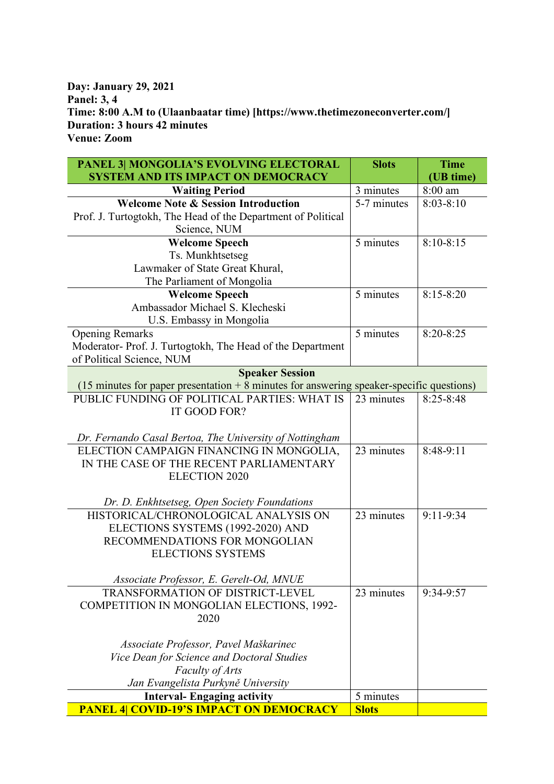## **Day: January 29, 2021 Panel: 3, 4 Time: 8:00 A.M to (Ulaanbaatar time) [https://www.thetimezoneconverter.com/] Duration: 3 hours 42 minutes Venue: Zoom**

| PANEL 3  MONGOLIA'S EVOLVING ELECTORAL                                                             | <b>Slots</b> | <b>Time</b>   |
|----------------------------------------------------------------------------------------------------|--------------|---------------|
| <b>SYSTEM AND ITS IMPACT ON DEMOCRACY</b>                                                          |              | (UB time)     |
| <b>Waiting Period</b>                                                                              | 3 minutes    | 8:00 am       |
| <b>Welcome Note &amp; Session Introduction</b>                                                     | 5-7 minutes  | $8:03-8:10$   |
| Prof. J. Turtogtokh, The Head of the Department of Political                                       |              |               |
| Science, NUM                                                                                       |              |               |
| <b>Welcome Speech</b>                                                                              | 5 minutes    | $8:10-8:15$   |
| Ts. Munkhtsetseg                                                                                   |              |               |
| Lawmaker of State Great Khural,                                                                    |              |               |
| The Parliament of Mongolia                                                                         |              |               |
| <b>Welcome Speech</b>                                                                              | 5 minutes    | $8:15 - 8:20$ |
| Ambassador Michael S. Klecheski                                                                    |              |               |
| U.S. Embassy in Mongolia                                                                           |              |               |
| <b>Opening Remarks</b>                                                                             | 5 minutes    | 8:20-8:25     |
| Moderator-Prof. J. Turtogtokh, The Head of the Department                                          |              |               |
| of Political Science, NUM                                                                          |              |               |
| <b>Speaker Session</b>                                                                             |              |               |
| $(15 \text{ minutes}$ for paper presentation + 8 minutes for answering speaker-specific questions) |              |               |
| PUBLIC FUNDING OF POLITICAL PARTIES: WHAT IS                                                       | 23 minutes   | $8:25 - 8:48$ |
| IT GOOD FOR?                                                                                       |              |               |
|                                                                                                    |              |               |
| Dr. Fernando Casal Bertoa, The University of Nottingham                                            |              |               |
| ELECTION CAMPAIGN FINANCING IN MONGOLIA,                                                           | 23 minutes   | 8:48-9:11     |
| IN THE CASE OF THE RECENT PARLIAMENTARY                                                            |              |               |
| <b>ELECTION 2020</b>                                                                               |              |               |
|                                                                                                    |              |               |
| Dr. D. Enkhtsetseg, Open Society Foundations<br>HISTORICAL/CHRONOLOGICAL ANALYSIS ON               | 23 minutes   | $9:11 - 9:34$ |
| ELECTIONS SYSTEMS (1992-2020) AND                                                                  |              |               |
| RECOMMENDATIONS FOR MONGOLIAN                                                                      |              |               |
| <b>ELECTIONS SYSTEMS</b>                                                                           |              |               |
|                                                                                                    |              |               |
| Associate Professor, E. Gerelt-Od, MNUE                                                            |              |               |
| <b>TRANSFORMATION OF DISTRICT-LEVEL</b>                                                            | 23 minutes   | 9:34-9:57     |
| COMPETITION IN MONGOLIAN ELECTIONS, 1992-                                                          |              |               |
| 2020                                                                                               |              |               |
|                                                                                                    |              |               |
| Associate Professor, Pavel Maškarinec                                                              |              |               |
| Vice Dean for Science and Doctoral Studies                                                         |              |               |
| Faculty of Arts                                                                                    |              |               |
| Jan Evangelista Purkyně University                                                                 |              |               |
| <b>Interval- Engaging activity</b>                                                                 | 5 minutes    |               |
| <b>PANEL 4  COVID-19'S IMPACT ON DEMOCRACY</b>                                                     | <b>Slots</b> |               |